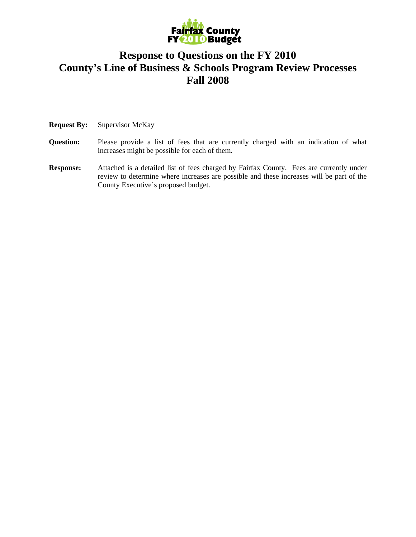

## **Response to Questions on the FY 2010 County's Line of Business & Schools Program Review Processes Fall 2008**

**Request By:** Supervisor McKay

- **Question:** Please provide a list of fees that are currently charged with an indication of what increases might be possible for each of them.
- **Response:** Attached is a detailed list of fees charged by Fairfax County. Fees are currently under review to determine where increases are possible and these increases will be part of the County Executive's proposed budget.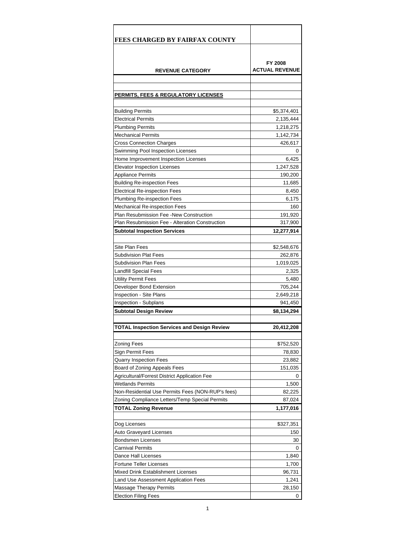| FY 2008<br><b>ACTUAL REVENUE</b><br><b>REVENUE CATEGORY</b><br>PERMITS, FEES & REGULATORY LICENSES<br><b>Building Permits</b><br>\$5,374,401<br><b>Electrical Permits</b><br>2,135,444<br><b>Plumbing Permits</b><br>1,218,275<br><b>Mechanical Permits</b><br>1,142,734<br><b>Cross Connection Charges</b><br>426,617<br>Swimming Pool Inspection Licenses<br>0<br>6,425<br>Home Improvement Inspection Licenses<br>1,247,528<br><b>Elevator Inspection Licenses</b><br><b>Appliance Permits</b><br>190,200<br>Building Re-inspection Fees<br>11,685<br>Electrical Re-inspection Fees<br>8,450<br>Plumbing Re-inspection Fees<br>6,175<br><b>Mechanical Re-inspection Fees</b><br>160<br>Plan Resubmission Fee -New Construction<br>191,920<br>Plan Resubmission Fee - Alteration Construction<br>317,900<br>Subtotal Inspection Services<br>12,277,914<br>Site Plan Fees<br>\$2,548,676<br><b>Subdivision Plat Fees</b><br>262,876<br><b>Subdivision Plan Fees</b><br>1,019,025<br><b>Landfill Special Fees</b><br>2,325<br><b>Utility Permit Fees</b><br>5,480<br>Developer Bond Extension<br>705,244<br><b>Inspection - Site Plans</b><br>2,649,218<br>Inspection - Subplans<br>941,450<br>\$8,134,294<br><b>Subtotal Design Review</b><br>20,412,208<br><b>Zoning Fees</b><br>\$752,520<br>Sign Permit Fees<br>78,830<br>Quarry Inspection Fees<br>23,882<br>Board of Zoning Appeals Fees<br>151,035<br><b>Agricultural/Forrest District Application Fee</b><br>0<br>Wetlands Permits<br>1,500<br>Non-Residential Use Permits Fees (NON-RUP's fees)<br>82,225<br>Zoning Compliance Letters/Temp Special Permits<br>87,024<br><b>TOTAL Zoning Revenue</b><br>1,177,016<br>Dog Licenses<br>\$327,351<br>Auto Graveyard Licenses<br>150<br>Bondsmen Licenses<br>30<br><b>Carnival Permits</b><br>0<br>Dance Hall Licenses<br>1,840<br><b>Fortune Teller Licenses</b><br>1,700<br>Mixed Drink Establishment Licenses<br>96,731<br>1,241<br>Land Use Assessment Application Fees<br>Massage Therapy Permits<br>28,150 | <b>FEES CHARGED BY FAIRFAX COUNTY</b>       |  |
|-----------------------------------------------------------------------------------------------------------------------------------------------------------------------------------------------------------------------------------------------------------------------------------------------------------------------------------------------------------------------------------------------------------------------------------------------------------------------------------------------------------------------------------------------------------------------------------------------------------------------------------------------------------------------------------------------------------------------------------------------------------------------------------------------------------------------------------------------------------------------------------------------------------------------------------------------------------------------------------------------------------------------------------------------------------------------------------------------------------------------------------------------------------------------------------------------------------------------------------------------------------------------------------------------------------------------------------------------------------------------------------------------------------------------------------------------------------------------------------------------------------------------------------------------------------------------------------------------------------------------------------------------------------------------------------------------------------------------------------------------------------------------------------------------------------------------------------------------------------------------------------------------------------------------------------------------------------------------------------------------------------------------|---------------------------------------------|--|
|                                                                                                                                                                                                                                                                                                                                                                                                                                                                                                                                                                                                                                                                                                                                                                                                                                                                                                                                                                                                                                                                                                                                                                                                                                                                                                                                                                                                                                                                                                                                                                                                                                                                                                                                                                                                                                                                                                                                                                                                                       |                                             |  |
|                                                                                                                                                                                                                                                                                                                                                                                                                                                                                                                                                                                                                                                                                                                                                                                                                                                                                                                                                                                                                                                                                                                                                                                                                                                                                                                                                                                                                                                                                                                                                                                                                                                                                                                                                                                                                                                                                                                                                                                                                       |                                             |  |
|                                                                                                                                                                                                                                                                                                                                                                                                                                                                                                                                                                                                                                                                                                                                                                                                                                                                                                                                                                                                                                                                                                                                                                                                                                                                                                                                                                                                                                                                                                                                                                                                                                                                                                                                                                                                                                                                                                                                                                                                                       |                                             |  |
|                                                                                                                                                                                                                                                                                                                                                                                                                                                                                                                                                                                                                                                                                                                                                                                                                                                                                                                                                                                                                                                                                                                                                                                                                                                                                                                                                                                                                                                                                                                                                                                                                                                                                                                                                                                                                                                                                                                                                                                                                       |                                             |  |
|                                                                                                                                                                                                                                                                                                                                                                                                                                                                                                                                                                                                                                                                                                                                                                                                                                                                                                                                                                                                                                                                                                                                                                                                                                                                                                                                                                                                                                                                                                                                                                                                                                                                                                                                                                                                                                                                                                                                                                                                                       |                                             |  |
|                                                                                                                                                                                                                                                                                                                                                                                                                                                                                                                                                                                                                                                                                                                                                                                                                                                                                                                                                                                                                                                                                                                                                                                                                                                                                                                                                                                                                                                                                                                                                                                                                                                                                                                                                                                                                                                                                                                                                                                                                       |                                             |  |
|                                                                                                                                                                                                                                                                                                                                                                                                                                                                                                                                                                                                                                                                                                                                                                                                                                                                                                                                                                                                                                                                                                                                                                                                                                                                                                                                                                                                                                                                                                                                                                                                                                                                                                                                                                                                                                                                                                                                                                                                                       |                                             |  |
|                                                                                                                                                                                                                                                                                                                                                                                                                                                                                                                                                                                                                                                                                                                                                                                                                                                                                                                                                                                                                                                                                                                                                                                                                                                                                                                                                                                                                                                                                                                                                                                                                                                                                                                                                                                                                                                                                                                                                                                                                       |                                             |  |
|                                                                                                                                                                                                                                                                                                                                                                                                                                                                                                                                                                                                                                                                                                                                                                                                                                                                                                                                                                                                                                                                                                                                                                                                                                                                                                                                                                                                                                                                                                                                                                                                                                                                                                                                                                                                                                                                                                                                                                                                                       |                                             |  |
|                                                                                                                                                                                                                                                                                                                                                                                                                                                                                                                                                                                                                                                                                                                                                                                                                                                                                                                                                                                                                                                                                                                                                                                                                                                                                                                                                                                                                                                                                                                                                                                                                                                                                                                                                                                                                                                                                                                                                                                                                       |                                             |  |
|                                                                                                                                                                                                                                                                                                                                                                                                                                                                                                                                                                                                                                                                                                                                                                                                                                                                                                                                                                                                                                                                                                                                                                                                                                                                                                                                                                                                                                                                                                                                                                                                                                                                                                                                                                                                                                                                                                                                                                                                                       |                                             |  |
|                                                                                                                                                                                                                                                                                                                                                                                                                                                                                                                                                                                                                                                                                                                                                                                                                                                                                                                                                                                                                                                                                                                                                                                                                                                                                                                                                                                                                                                                                                                                                                                                                                                                                                                                                                                                                                                                                                                                                                                                                       |                                             |  |
|                                                                                                                                                                                                                                                                                                                                                                                                                                                                                                                                                                                                                                                                                                                                                                                                                                                                                                                                                                                                                                                                                                                                                                                                                                                                                                                                                                                                                                                                                                                                                                                                                                                                                                                                                                                                                                                                                                                                                                                                                       |                                             |  |
|                                                                                                                                                                                                                                                                                                                                                                                                                                                                                                                                                                                                                                                                                                                                                                                                                                                                                                                                                                                                                                                                                                                                                                                                                                                                                                                                                                                                                                                                                                                                                                                                                                                                                                                                                                                                                                                                                                                                                                                                                       |                                             |  |
|                                                                                                                                                                                                                                                                                                                                                                                                                                                                                                                                                                                                                                                                                                                                                                                                                                                                                                                                                                                                                                                                                                                                                                                                                                                                                                                                                                                                                                                                                                                                                                                                                                                                                                                                                                                                                                                                                                                                                                                                                       |                                             |  |
|                                                                                                                                                                                                                                                                                                                                                                                                                                                                                                                                                                                                                                                                                                                                                                                                                                                                                                                                                                                                                                                                                                                                                                                                                                                                                                                                                                                                                                                                                                                                                                                                                                                                                                                                                                                                                                                                                                                                                                                                                       |                                             |  |
|                                                                                                                                                                                                                                                                                                                                                                                                                                                                                                                                                                                                                                                                                                                                                                                                                                                                                                                                                                                                                                                                                                                                                                                                                                                                                                                                                                                                                                                                                                                                                                                                                                                                                                                                                                                                                                                                                                                                                                                                                       |                                             |  |
|                                                                                                                                                                                                                                                                                                                                                                                                                                                                                                                                                                                                                                                                                                                                                                                                                                                                                                                                                                                                                                                                                                                                                                                                                                                                                                                                                                                                                                                                                                                                                                                                                                                                                                                                                                                                                                                                                                                                                                                                                       |                                             |  |
|                                                                                                                                                                                                                                                                                                                                                                                                                                                                                                                                                                                                                                                                                                                                                                                                                                                                                                                                                                                                                                                                                                                                                                                                                                                                                                                                                                                                                                                                                                                                                                                                                                                                                                                                                                                                                                                                                                                                                                                                                       |                                             |  |
|                                                                                                                                                                                                                                                                                                                                                                                                                                                                                                                                                                                                                                                                                                                                                                                                                                                                                                                                                                                                                                                                                                                                                                                                                                                                                                                                                                                                                                                                                                                                                                                                                                                                                                                                                                                                                                                                                                                                                                                                                       |                                             |  |
|                                                                                                                                                                                                                                                                                                                                                                                                                                                                                                                                                                                                                                                                                                                                                                                                                                                                                                                                                                                                                                                                                                                                                                                                                                                                                                                                                                                                                                                                                                                                                                                                                                                                                                                                                                                                                                                                                                                                                                                                                       |                                             |  |
|                                                                                                                                                                                                                                                                                                                                                                                                                                                                                                                                                                                                                                                                                                                                                                                                                                                                                                                                                                                                                                                                                                                                                                                                                                                                                                                                                                                                                                                                                                                                                                                                                                                                                                                                                                                                                                                                                                                                                                                                                       |                                             |  |
|                                                                                                                                                                                                                                                                                                                                                                                                                                                                                                                                                                                                                                                                                                                                                                                                                                                                                                                                                                                                                                                                                                                                                                                                                                                                                                                                                                                                                                                                                                                                                                                                                                                                                                                                                                                                                                                                                                                                                                                                                       |                                             |  |
|                                                                                                                                                                                                                                                                                                                                                                                                                                                                                                                                                                                                                                                                                                                                                                                                                                                                                                                                                                                                                                                                                                                                                                                                                                                                                                                                                                                                                                                                                                                                                                                                                                                                                                                                                                                                                                                                                                                                                                                                                       |                                             |  |
|                                                                                                                                                                                                                                                                                                                                                                                                                                                                                                                                                                                                                                                                                                                                                                                                                                                                                                                                                                                                                                                                                                                                                                                                                                                                                                                                                                                                                                                                                                                                                                                                                                                                                                                                                                                                                                                                                                                                                                                                                       |                                             |  |
|                                                                                                                                                                                                                                                                                                                                                                                                                                                                                                                                                                                                                                                                                                                                                                                                                                                                                                                                                                                                                                                                                                                                                                                                                                                                                                                                                                                                                                                                                                                                                                                                                                                                                                                                                                                                                                                                                                                                                                                                                       |                                             |  |
|                                                                                                                                                                                                                                                                                                                                                                                                                                                                                                                                                                                                                                                                                                                                                                                                                                                                                                                                                                                                                                                                                                                                                                                                                                                                                                                                                                                                                                                                                                                                                                                                                                                                                                                                                                                                                                                                                                                                                                                                                       |                                             |  |
|                                                                                                                                                                                                                                                                                                                                                                                                                                                                                                                                                                                                                                                                                                                                                                                                                                                                                                                                                                                                                                                                                                                                                                                                                                                                                                                                                                                                                                                                                                                                                                                                                                                                                                                                                                                                                                                                                                                                                                                                                       |                                             |  |
|                                                                                                                                                                                                                                                                                                                                                                                                                                                                                                                                                                                                                                                                                                                                                                                                                                                                                                                                                                                                                                                                                                                                                                                                                                                                                                                                                                                                                                                                                                                                                                                                                                                                                                                                                                                                                                                                                                                                                                                                                       |                                             |  |
|                                                                                                                                                                                                                                                                                                                                                                                                                                                                                                                                                                                                                                                                                                                                                                                                                                                                                                                                                                                                                                                                                                                                                                                                                                                                                                                                                                                                                                                                                                                                                                                                                                                                                                                                                                                                                                                                                                                                                                                                                       |                                             |  |
|                                                                                                                                                                                                                                                                                                                                                                                                                                                                                                                                                                                                                                                                                                                                                                                                                                                                                                                                                                                                                                                                                                                                                                                                                                                                                                                                                                                                                                                                                                                                                                                                                                                                                                                                                                                                                                                                                                                                                                                                                       |                                             |  |
|                                                                                                                                                                                                                                                                                                                                                                                                                                                                                                                                                                                                                                                                                                                                                                                                                                                                                                                                                                                                                                                                                                                                                                                                                                                                                                                                                                                                                                                                                                                                                                                                                                                                                                                                                                                                                                                                                                                                                                                                                       | TOTAL Inspection Services and Design Review |  |
|                                                                                                                                                                                                                                                                                                                                                                                                                                                                                                                                                                                                                                                                                                                                                                                                                                                                                                                                                                                                                                                                                                                                                                                                                                                                                                                                                                                                                                                                                                                                                                                                                                                                                                                                                                                                                                                                                                                                                                                                                       |                                             |  |
|                                                                                                                                                                                                                                                                                                                                                                                                                                                                                                                                                                                                                                                                                                                                                                                                                                                                                                                                                                                                                                                                                                                                                                                                                                                                                                                                                                                                                                                                                                                                                                                                                                                                                                                                                                                                                                                                                                                                                                                                                       |                                             |  |
|                                                                                                                                                                                                                                                                                                                                                                                                                                                                                                                                                                                                                                                                                                                                                                                                                                                                                                                                                                                                                                                                                                                                                                                                                                                                                                                                                                                                                                                                                                                                                                                                                                                                                                                                                                                                                                                                                                                                                                                                                       |                                             |  |
|                                                                                                                                                                                                                                                                                                                                                                                                                                                                                                                                                                                                                                                                                                                                                                                                                                                                                                                                                                                                                                                                                                                                                                                                                                                                                                                                                                                                                                                                                                                                                                                                                                                                                                                                                                                                                                                                                                                                                                                                                       |                                             |  |
|                                                                                                                                                                                                                                                                                                                                                                                                                                                                                                                                                                                                                                                                                                                                                                                                                                                                                                                                                                                                                                                                                                                                                                                                                                                                                                                                                                                                                                                                                                                                                                                                                                                                                                                                                                                                                                                                                                                                                                                                                       |                                             |  |
|                                                                                                                                                                                                                                                                                                                                                                                                                                                                                                                                                                                                                                                                                                                                                                                                                                                                                                                                                                                                                                                                                                                                                                                                                                                                                                                                                                                                                                                                                                                                                                                                                                                                                                                                                                                                                                                                                                                                                                                                                       |                                             |  |
|                                                                                                                                                                                                                                                                                                                                                                                                                                                                                                                                                                                                                                                                                                                                                                                                                                                                                                                                                                                                                                                                                                                                                                                                                                                                                                                                                                                                                                                                                                                                                                                                                                                                                                                                                                                                                                                                                                                                                                                                                       |                                             |  |
|                                                                                                                                                                                                                                                                                                                                                                                                                                                                                                                                                                                                                                                                                                                                                                                                                                                                                                                                                                                                                                                                                                                                                                                                                                                                                                                                                                                                                                                                                                                                                                                                                                                                                                                                                                                                                                                                                                                                                                                                                       |                                             |  |
|                                                                                                                                                                                                                                                                                                                                                                                                                                                                                                                                                                                                                                                                                                                                                                                                                                                                                                                                                                                                                                                                                                                                                                                                                                                                                                                                                                                                                                                                                                                                                                                                                                                                                                                                                                                                                                                                                                                                                                                                                       |                                             |  |
|                                                                                                                                                                                                                                                                                                                                                                                                                                                                                                                                                                                                                                                                                                                                                                                                                                                                                                                                                                                                                                                                                                                                                                                                                                                                                                                                                                                                                                                                                                                                                                                                                                                                                                                                                                                                                                                                                                                                                                                                                       |                                             |  |
|                                                                                                                                                                                                                                                                                                                                                                                                                                                                                                                                                                                                                                                                                                                                                                                                                                                                                                                                                                                                                                                                                                                                                                                                                                                                                                                                                                                                                                                                                                                                                                                                                                                                                                                                                                                                                                                                                                                                                                                                                       |                                             |  |
|                                                                                                                                                                                                                                                                                                                                                                                                                                                                                                                                                                                                                                                                                                                                                                                                                                                                                                                                                                                                                                                                                                                                                                                                                                                                                                                                                                                                                                                                                                                                                                                                                                                                                                                                                                                                                                                                                                                                                                                                                       |                                             |  |
|                                                                                                                                                                                                                                                                                                                                                                                                                                                                                                                                                                                                                                                                                                                                                                                                                                                                                                                                                                                                                                                                                                                                                                                                                                                                                                                                                                                                                                                                                                                                                                                                                                                                                                                                                                                                                                                                                                                                                                                                                       |                                             |  |
|                                                                                                                                                                                                                                                                                                                                                                                                                                                                                                                                                                                                                                                                                                                                                                                                                                                                                                                                                                                                                                                                                                                                                                                                                                                                                                                                                                                                                                                                                                                                                                                                                                                                                                                                                                                                                                                                                                                                                                                                                       |                                             |  |
|                                                                                                                                                                                                                                                                                                                                                                                                                                                                                                                                                                                                                                                                                                                                                                                                                                                                                                                                                                                                                                                                                                                                                                                                                                                                                                                                                                                                                                                                                                                                                                                                                                                                                                                                                                                                                                                                                                                                                                                                                       |                                             |  |
|                                                                                                                                                                                                                                                                                                                                                                                                                                                                                                                                                                                                                                                                                                                                                                                                                                                                                                                                                                                                                                                                                                                                                                                                                                                                                                                                                                                                                                                                                                                                                                                                                                                                                                                                                                                                                                                                                                                                                                                                                       |                                             |  |
|                                                                                                                                                                                                                                                                                                                                                                                                                                                                                                                                                                                                                                                                                                                                                                                                                                                                                                                                                                                                                                                                                                                                                                                                                                                                                                                                                                                                                                                                                                                                                                                                                                                                                                                                                                                                                                                                                                                                                                                                                       |                                             |  |
| Election Filing Fees<br>0                                                                                                                                                                                                                                                                                                                                                                                                                                                                                                                                                                                                                                                                                                                                                                                                                                                                                                                                                                                                                                                                                                                                                                                                                                                                                                                                                                                                                                                                                                                                                                                                                                                                                                                                                                                                                                                                                                                                                                                             |                                             |  |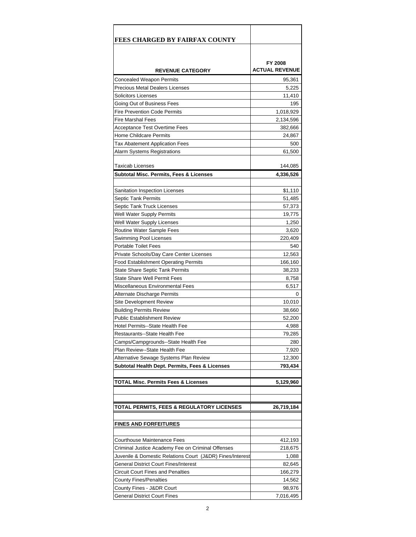| FEES CHARGED BY FAIRFAX COUNTY                                          |                        |
|-------------------------------------------------------------------------|------------------------|
|                                                                         |                        |
|                                                                         |                        |
|                                                                         | FY 2008                |
| <b>REVENUE CATEGORY</b>                                                 | <b>ACTUAL REVENUE</b>  |
| Concealed Weapon Permits                                                | 95,361                 |
| <b>Precious Metal Dealers Licenses</b>                                  | 5,225                  |
| Solicitors Licenses                                                     | 11,410                 |
| Going Out of Business Fees<br><b>Fire Prevention Code Permits</b>       | 195                    |
| <b>Fire Marshal Fees</b>                                                | 1,018,929<br>2,134,596 |
| <b>Acceptance Test Overtime Fees</b>                                    | 382,666                |
| Home Childcare Permits                                                  | 24,867                 |
| Tax Abatement Application Fees                                          | 500                    |
| Alarm Systems Registrations                                             | 61,500                 |
|                                                                         |                        |
| <b>Taxicab Licenses</b>                                                 | 144,085                |
| Subtotal Misc. Permits, Fees & Licenses                                 | 4,336,526              |
|                                                                         |                        |
| Sanitation Inspection Licenses                                          | \$1,110                |
| Septic Tank Permits                                                     | 51,485                 |
| Septic Tank Truck Licenses                                              | 57,373                 |
| Well Water Supply Permits                                               | 19,775                 |
| Well Water Supply Licenses                                              | 1,250                  |
| <b>Routine Water Sample Fees</b>                                        | 3,620                  |
| Swimming Pool Licenses                                                  | 220,409                |
| <b>Portable Toilet Fees</b>                                             | 540                    |
| Private Schools/Day Care Center Licenses                                | 12,563<br>166,160      |
| Food Establishment Operating Permits<br>State Share Septic Tank Permits | 38,233                 |
| State Share Well Permit Fees                                            | 8,758                  |
| Miscellaneous Environmental Fees                                        | 6,517                  |
| Alternate Discharge Permits                                             | 0                      |
| Site Development Review                                                 | 10,010                 |
| <b>Building Permits Review</b>                                          | 38,660                 |
| <b>Public Establishment Review</b>                                      | 52,200                 |
| Hotel Permits--State Health Fee                                         | 4,988                  |
| Restaurants--State Health Fee                                           | 79,285                 |
| Camps/Campgrounds--State Health Fee                                     | 280                    |
| Plan Review--State Health Fee                                           | 7,920                  |
| Alternative Sewage Systems Plan Review                                  | 12,300                 |
| Subtotal Health Dept. Permits, Fees & Licenses                          | 793,434                |
|                                                                         |                        |
| <b>TOTAL Misc. Permits Fees &amp; Licenses</b>                          | 5,129,960              |
|                                                                         |                        |
| TOTAL PERMITS, FEES & REGULATORY LICENSES                               | 26,719,184             |
|                                                                         |                        |
| <u>FINES AND FORFEITURES</u>                                            |                        |
|                                                                         |                        |
| Courthouse Maintenance Fees                                             | 412,193                |
| Criminal Justice Academy Fee on Criminal Offenses                       | 218,675                |
| Juvenile & Domestic Relations Court (J&DR) Fines/Interest               | 1,088                  |
| General District Court Fines/Interest                                   | 82,645                 |
| Circuit Court Fines and Penalties                                       | 166,279                |
| County Fines/Penalties                                                  | 14,562                 |
| County Fines - J&DR Court                                               | 98,976                 |
| General District Court Fines                                            | 7,016,495              |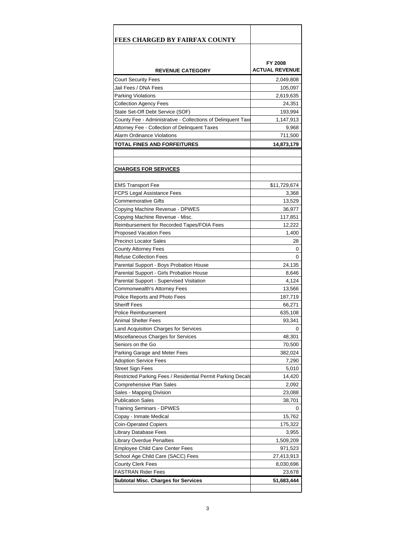| <b>FEES CHARGED BY FAIRFAX COUNTY</b>                        |                                  |
|--------------------------------------------------------------|----------------------------------|
|                                                              |                                  |
| <b>REVENUE CATEGORY</b>                                      | FY 2008<br><b>ACTUAL REVENUE</b> |
| <b>Court Security Fees</b>                                   | 2,049,808                        |
| Jail Fees / DNA Fees                                         | 105,097                          |
| <b>Parking Violations</b>                                    | 2,619,635                        |
| <b>Collection Agency Fees</b>                                | 24,351                           |
| State Set-Off Debt Service (SOF)                             | 193,994                          |
| County Fee - Administrative - Collections of Delinquent Taxe | 1,147,913                        |
| Attorney Fee - Collection of Delinquent Taxes                | 9,968                            |
| Alarm Ordinance Violations                                   | 711,500                          |
| TOTAL FINES AND FORFEITURES                                  | 14,873,179                       |
|                                                              |                                  |
|                                                              |                                  |
| <u>CHARGES FOR SERVICES</u>                                  |                                  |
|                                                              |                                  |
| <b>EMS Transport Fee</b>                                     | \$11,729,674                     |
| FCPS Legal Assistance Fees                                   | 3,368                            |
| Commemorative Gifts                                          | 13,529                           |
| Copying Machine Revenue - DPWES                              | 36,977                           |
| Copying Machine Revenue - Misc.                              | 117,851                          |
| Reimbursement for Recorded Tapes/FOIA Fees                   | 12,222                           |
| Proposed Vacation Fees                                       | 1,400                            |
| <b>Precinct Locator Sales</b>                                | 28                               |
| County Attorney Fees                                         | 0                                |
| <b>Refuse Collection Fees</b>                                | 0                                |
| Parental Support - Boys Probation House                      | 24,135                           |
| Parental Support - Girls Probation House                     | 8,646                            |
| Parental Support - Supervised Visitation                     | 4,124                            |
| Commonwealth's Attorney Fees                                 | 13,566                           |
| Police Reports and Photo Fees                                | 187,719                          |
| <b>Sheriff Fees</b>                                          | 66,271                           |
| Police Reimbursement                                         | 635,108                          |
| Animal Shelter Fees                                          | 93,341                           |
| Land Acquisition Charges for Services                        | 0                                |
| Miscellaneous Charges for Services                           | 48,301                           |
| Seniors on the Go                                            | 70,500                           |
| Parking Garage and Meter Fees                                | 382,024                          |
| <b>Adoption Service Fees</b>                                 | 7,290                            |
| Street Sign Fees                                             | 5,010                            |
| Restricted Parking Fees / Residential Permit Parking Decals  | 14,420                           |
| Comprehensive Plan Sales                                     | 2,092                            |
| Sales - Mapping Division                                     | 23,088                           |
| <b>Publication Sales</b>                                     | 38,701                           |
| Training Seminars - DPWES                                    | 0                                |
| Copay - Inmate Medical                                       | 15,762                           |
| Coin-Operated Copiers<br>Library Database Fees               | 175,322                          |
| Library Overdue Penalties                                    | 3,955<br>1,509,209               |
| <b>Employee Child Care Center Fees</b>                       | 971,523                          |
| School Age Child Care (SACC) Fees                            | 27,413,913                       |
| County Clerk Fees                                            | 8,030,696                        |
| FASTRAN Rider Fees                                           | 23,678                           |
| Subtotal Misc. Charges for Services                          | 51,683,444                       |
|                                                              |                                  |